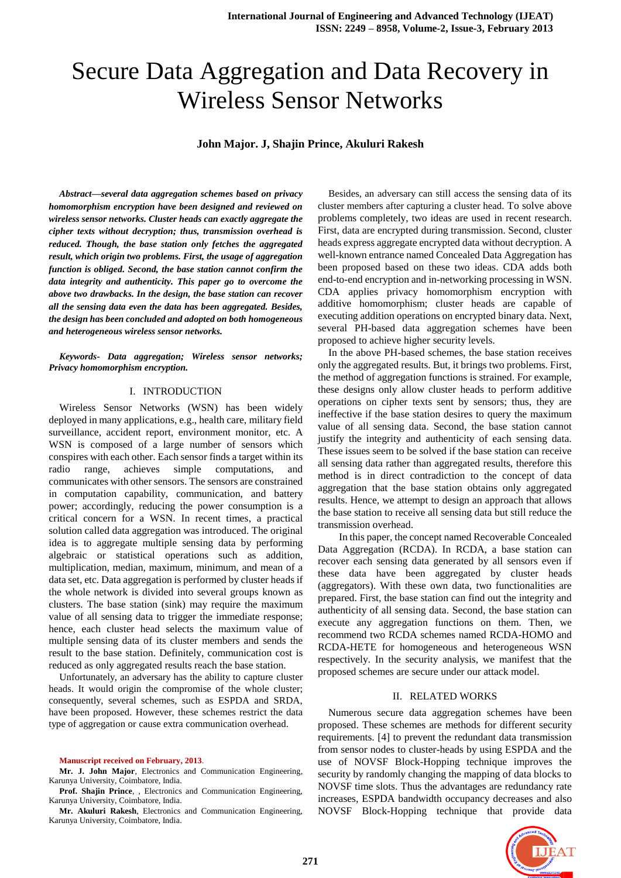# Secure Data Aggregation and Data Recovery in Wireless Sensor Networks

# **John Major. J, Shajin Prince, Akuluri Rakesh**

*Abstract***—***several data aggregation schemes based on privacy homomorphism encryption have been designed and reviewed on wireless sensor networks. Cluster heads can exactly aggregate the cipher texts without decryption; thus, transmission overhead is reduced. Though, the base station only fetches the aggregated result, which origin two problems. First, the usage of aggregation function is obliged. Second, the base station cannot confirm the data integrity and authenticity. This paper go to overcome the above two drawbacks. In the design, the base station can recover all the sensing data even the data has been aggregated. Besides, the design has been concluded and adopted on both homogeneous and heterogeneous wireless sensor networks.* 

*Keywords- Data aggregation; Wireless sensor networks; Privacy homomorphism encryption.*

### I. INTRODUCTION

Wireless Sensor Networks (WSN) has been widely deployed in many applications, e.g., health care, military field surveillance, accident report, environment monitor, etc. A WSN is composed of a large number of sensors which conspires with each other. Each sensor finds a target within its radio range, achieves simple computations, and communicates with other sensors. The sensors are constrained in computation capability, communication, and battery power; accordingly, reducing the power consumption is a critical concern for a WSN. In recent times, a practical solution called data aggregation was introduced. The original idea is to aggregate multiple sensing data by performing algebraic or statistical operations such as addition, multiplication, median, maximum, minimum, and mean of a data set, etc. Data aggregation is performed by cluster heads if the whole network is divided into several groups known as clusters. The base station (sink) may require the maximum value of all sensing data to trigger the immediate response; hence, each cluster head selects the maximum value of multiple sensing data of its cluster members and sends the result to the base station. Definitely, communication cost is reduced as only aggregated results reach the base station.

Unfortunately, an adversary has the ability to capture cluster heads. It would origin the compromise of the whole cluster; consequently, several schemes, such as ESPDA and SRDA, have been proposed. However, these schemes restrict the data type of aggregation or cause extra communication overhead.

#### **Manuscript received on February, 2013**.

**Mr. J. John Major**, Electronics and Communication Engineering, Karunya University, Coimbatore, India.

**Prof. Shajin Prince**, , Electronics and Communication Engineering, Karunya University, Coimbatore, India.

**Mr. Akuluri Rakesh**, Electronics and Communication Engineering, Karunya University, Coimbatore, India.

Besides, an adversary can still access the sensing data of its cluster members after capturing a cluster head. To solve above problems completely, two ideas are used in recent research. First, data are encrypted during transmission. Second, cluster heads express aggregate encrypted data without decryption. A well-known entrance named Concealed Data Aggregation has been proposed based on these two ideas. CDA adds both end-to-end encryption and in-networking processing in WSN. CDA applies privacy homomorphism encryption with additive homomorphism; cluster heads are capable of executing addition operations on encrypted binary data. Next, several PH-based data aggregation schemes have been proposed to achieve higher security levels.

In the above PH-based schemes, the base station receives only the aggregated results. But, it brings two problems. First, the method of aggregation functions is strained. For example, these designs only allow cluster heads to perform additive operations on cipher texts sent by sensors; thus, they are ineffective if the base station desires to query the maximum value of all sensing data. Second, the base station cannot justify the integrity and authenticity of each sensing data. These issues seem to be solved if the base station can receive all sensing data rather than aggregated results, therefore this method is in direct contradiction to the concept of data aggregation that the base station obtains only aggregated results. Hence, we attempt to design an approach that allows the base station to receive all sensing data but still reduce the transmission overhead.

In this paper, the concept named Recoverable Concealed Data Aggregation (RCDA). In RCDA, a base station can recover each sensing data generated by all sensors even if these data have been aggregated by cluster heads (aggregators). With these own data, two functionalities are prepared. First, the base station can find out the integrity and authenticity of all sensing data. Second, the base station can execute any aggregation functions on them. Then, we recommend two RCDA schemes named RCDA-HOMO and RCDA-HETE for homogeneous and heterogeneous WSN respectively. In the security analysis, we manifest that the proposed schemes are secure under our attack model.

#### II. RELATED WORKS

Numerous secure data aggregation schemes have been proposed. These schemes are methods for different security requirements. [4] to prevent the redundant data transmission from sensor nodes to cluster-heads by using ESPDA and the use of NOVSF Block-Hopping technique improves the security by randomly changing the mapping of data blocks to NOVSF time slots. Thus the advantages are redundancy rate increases, ESPDA bandwidth occupancy decreases and also NOVSF Block-Hopping technique that provide data

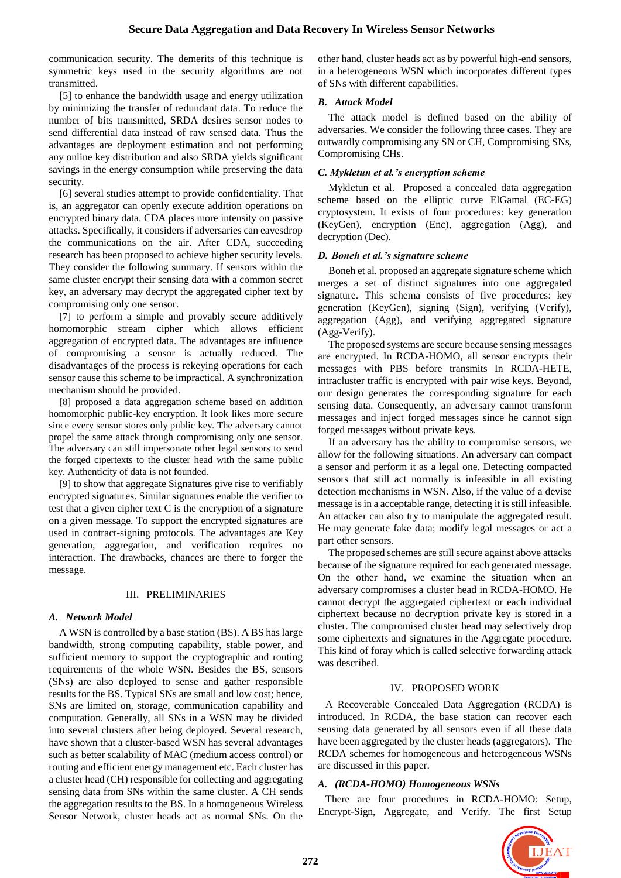communication security. The demerits of this technique is symmetric keys used in the security algorithms are not transmitted.

[5] to enhance the bandwidth usage and energy utilization by minimizing the transfer of redundant data. To reduce the number of bits transmitted, SRDA desires sensor nodes to send differential data instead of raw sensed data. Thus the advantages are deployment estimation and not performing any online key distribution and also SRDA yields significant savings in the energy consumption while preserving the data security.

[6] several studies attempt to provide confidentiality. That is, an aggregator can openly execute addition operations on encrypted binary data. CDA places more intensity on passive attacks. Specifically, it considers if adversaries can eavesdrop the communications on the air. After CDA, succeeding research has been proposed to achieve higher security levels. They consider the following summary. If sensors within the same cluster encrypt their sensing data with a common secret key, an adversary may decrypt the aggregated cipher text by compromising only one sensor.

[7] to perform a simple and provably secure additively homomorphic stream cipher which allows efficient aggregation of encrypted data. The advantages are influence of compromising a sensor is actually reduced. The disadvantages of the process is rekeying operations for each sensor cause this scheme to be impractical. A synchronization mechanism should be provided.

[8] proposed a data aggregation scheme based on addition homomorphic public-key encryption. It look likes more secure since every sensor stores only public key. The adversary cannot propel the same attack through compromising only one sensor. The adversary can still impersonate other legal sensors to send the forged cipertexts to the cluster head with the same public key. Authenticity of data is not founded.

[9] to show that aggregate Signatures give rise to verifiably encrypted signatures. Similar signatures enable the verifier to test that a given cipher text C is the encryption of a signature on a given message. To support the encrypted signatures are used in contract-signing protocols. The advantages are Key generation, aggregation, and verification requires no interaction. The drawbacks, chances are there to forger the message.

# III. PRELIMINARIES

# *A. Network Model*

A WSN is controlled by a base station (BS). A BS has large bandwidth, strong computing capability, stable power, and sufficient memory to support the cryptographic and routing requirements of the whole WSN. Besides the BS, sensors (SNs) are also deployed to sense and gather responsible results for the BS. Typical SNs are small and low cost; hence, SNs are limited on, storage, communication capability and computation. Generally, all SNs in a WSN may be divided into several clusters after being deployed. Several research, have shown that a cluster-based WSN has several advantages such as better scalability of MAC (medium access control) or routing and efficient energy management etc. Each cluster has a cluster head (CH) responsible for collecting and aggregating sensing data from SNs within the same cluster. A CH sends the aggregation results to the BS. In a homogeneous Wireless Sensor Network, cluster heads act as normal SNs. On the other hand, cluster heads act as by powerful high-end sensors, in a heterogeneous WSN which incorporates different types of SNs with different capabilities.

# *B. Attack Model*

The attack model is defined based on the ability of adversaries. We consider the following three cases. They are outwardly compromising any SN or CH, Compromising SNs, Compromising CHs.

# *C. Mykletun et al.'s encryption scheme*

Mykletun et al. Proposed a concealed data aggregation scheme based on the elliptic curve ElGamal (EC-EG) cryptosystem. It exists of four procedures: key generation (KeyGen), encryption (Enc), aggregation (Agg), and decryption (Dec).

## *D. Boneh et al.'s signature scheme*

Boneh et al. proposed an aggregate signature scheme which merges a set of distinct signatures into one aggregated signature. This schema consists of five procedures: key generation (KeyGen), signing (Sign), verifying (Verify), aggregation (Agg), and verifying aggregated signature (Agg-Verify).

The proposed systems are secure because sensing messages are encrypted. In RCDA-HOMO, all sensor encrypts their messages with PBS before transmits In RCDA-HETE, intracluster traffic is encrypted with pair wise keys. Beyond, our design generates the corresponding signature for each sensing data. Consequently, an adversary cannot transform messages and inject forged messages since he cannot sign forged messages without private keys.

If an adversary has the ability to compromise sensors, we allow for the following situations. An adversary can compact a sensor and perform it as a legal one. Detecting compacted sensors that still act normally is infeasible in all existing detection mechanisms in WSN. Also, if the value of a devise message is in a acceptable range, detecting it is still infeasible. An attacker can also try to manipulate the aggregated result. He may generate fake data; modify legal messages or act a part other sensors.

The proposed schemes are still secure against above attacks because of the signature required for each generated message. On the other hand, we examine the situation when an adversary compromises a cluster head in RCDA-HOMO. He cannot decrypt the aggregated ciphertext or each individual ciphertext because no decryption private key is stored in a cluster. The compromised cluster head may selectively drop some ciphertexts and signatures in the Aggregate procedure. This kind of foray which is called selective forwarding attack was described.

## IV. PROPOSED WORK

A Recoverable Concealed Data Aggregation (RCDA) is introduced. In RCDA, the base station can recover each sensing data generated by all sensors even if all these data have been aggregated by the cluster heads (aggregators). The RCDA schemes for homogeneous and heterogeneous WSNs are discussed in this paper.

# *A. (RCDA-HOMO) Homogeneous WSNs*

There are four procedures in RCDA-HOMO: Setup, Encrypt-Sign, Aggregate, and Verify. The first Setup

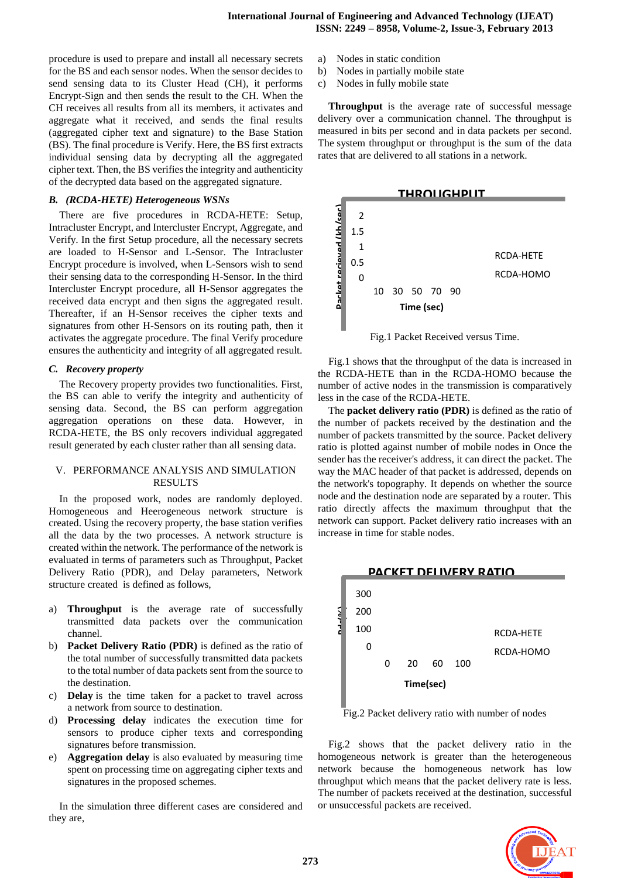procedure is used to prepare and install all necessary secrets for the BS and each sensor nodes. When the sensor decides to send sensing data to its Cluster Head (CH), it performs Encrypt-Sign and then sends the result to the CH. When the CH receives all results from all its members, it activates and aggregate what it received, and sends the final results (aggregated cipher text and signature) to the Base Station (BS). The final procedure is Verify. Here, the BS first extracts individual sensing data by decrypting all the aggregated cipher text. Then, the BS verifies the integrity and authenticity of the decrypted data based on the aggregated signature.

# *B. (RCDA-HETE) Heterogeneous WSNs*

There are five procedures in RCDA-HETE: Setup, Intracluster Encrypt, and Intercluster Encrypt, Aggregate, and Verify. In the first Setup procedure, all the necessary secrets are loaded to H-Sensor and L-Sensor. The Intracluster Encrypt procedure is involved, when L-Sensors wish to send their sensing data to the corresponding H-Sensor. In the third Intercluster Encrypt procedure, all H-Sensor aggregates the received data encrypt and then signs the aggregated result. Thereafter, if an H-Sensor receives the cipher texts and signatures from other H-Sensors on its routing path, then it activates the aggregate procedure. The final Verify procedure ensures the authenticity and integrity of all aggregated result.

## *C. Recovery property*

The Recovery property provides two functionalities. First, the BS can able to verify the integrity and authenticity of sensing data. Second, the BS can perform aggregation aggregation operations on these data. However, in RCDA-HETE, the BS only recovers individual aggregated result generated by each cluster rather than all sensing data.

## V. PERFORMANCE ANALYSIS AND SIMULATION RESULTS

In the proposed work, nodes are randomly deployed. Homogeneous and Heerogeneous network structure is created. Using the recovery property, the base station verifies all the data by the two processes. A network structure is created within the network. The performance of the network is evaluated in terms of parameters such as Throughput, Packet Delivery Ratio (PDR), and Delay parameters, Network structure created is defined as follows,

- a) **Throughput** is the average rate of successfully transmitted data packets over the communication channel.
- b) **Packet Delivery Ratio (PDR)** is defined as the ratio of the total number of successfully transmitted data packets to the total number of data packets sent from the source to the destination.
- c) **Delay** is the time taken for a packet to travel across a network from source to destination.
- d) **Processing delay** indicates the execution time for sensors to produce cipher texts and corresponding signatures before transmission.
- Aggregation delay is also evaluated by measuring time spent on processing time on aggregating cipher texts and signatures in the proposed schemes.

In the simulation three different cases are considered and they are,

- a) Nodes in static condition
- b) Nodes in partially mobile state
- c) Nodes in fully mobile state

**Throughput** is the average rate of successful message delivery over a communication channel. The throughput is measured in bits per second and in data packets per second. The system throughput or throughput is the sum of the data rates that are delivered to all stations in a network.



Fig.1 Packet Received versus Time.

Fig.1 shows that the throughput of the data is increased in the RCDA-HETE than in the RCDA-HOMO because the number of active nodes in the transmission is comparatively less in the case of the RCDA-HETE.

The **packet delivery ratio (PDR)** is defined as the ratio of the number of packets received by the destination and the number of packets transmitted by the source. Packet delivery ratio is plotted against number of mobile nodes in Once the sender has the receiver's address, it can direct the packet. The way the MAC header of that packet is addressed, depends on the network's topography. It depends on whether the source node and the destination node are separated by a router. This ratio directly affects the maximum throughput that the network can support. Packet delivery ratio increases with an increase in time for stable nodes.



Fig.2 Packet delivery ratio with number of nodes

Fig.2 shows that the packet delivery ratio in the homogeneous network is greater than the heterogeneous network because the homogeneous network has low throughput which means that the packet delivery rate is less. The number of packets received at the destination, successful or unsuccessful packets are received.

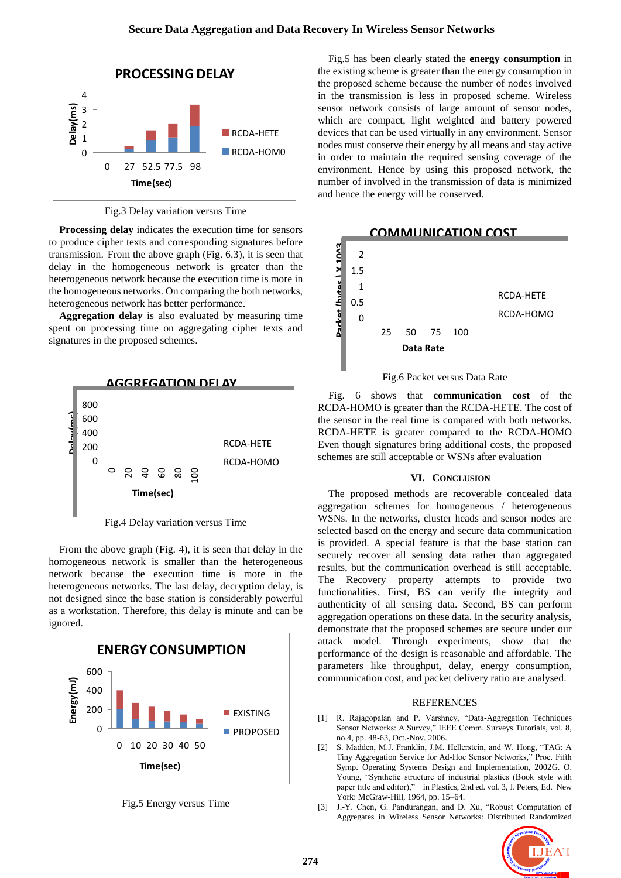

Fig.3 Delay variation versus Time

**Processing delay** indicates the execution time for sensors to produce cipher texts and corresponding signatures before transmission. From the above graph (Fig. 6.3), it is seen that delay in the homogeneous network is greater than the heterogeneous network because the execution time is more in the homogeneous networks. On comparing the both networks, heterogeneous network has better performance.

**Aggregation delay** is also evaluated by measuring time spent on processing time on aggregating cipher texts and signatures in the proposed schemes.



Fig.4 Delay variation versus Time

From the above graph (Fig. 4), it is seen that delay in the homogeneous network is smaller than the heterogeneous network because the execution time is more in the heterogeneous networks. The last delay, decryption delay, is not designed since the base station is considerably powerful as a workstation. Therefore, this delay is minute and can be ignored.



Fig.5 Energy versus Time

Fig.5 has been clearly stated the **energy consumption** in the existing scheme is greater than the energy consumption in the proposed scheme because the number of nodes involved in the transmission is less in proposed scheme. Wireless sensor network consists of large amount of sensor nodes, which are compact, light weighted and battery powered devices that can be used virtually in any environment. Sensor nodes must conserve their energy by all means and stay active in order to maintain the required sensing coverage of the environment. Hence by using this proposed network, the number of involved in the transmission of data is minimized and hence the energy will be conserved.



Fig.6 Packet versus Data Rate

Fig. 6 shows that **communication cost** of the RCDA-HOMO is greater than the RCDA-HETE. The cost of the sensor in the real time is compared with both networks. RCDA-HETE is greater compared to the RCDA-HOMO Even though signatures bring additional costs, the proposed schemes are still acceptable or WSNs after evaluation

# **VI. CONCLUSION**

The proposed methods are recoverable concealed data aggregation schemes for homogeneous / heterogeneous WSNs. In the networks, cluster heads and sensor nodes are selected based on the energy and secure data communication is provided. A special feature is that the base station can securely recover all sensing data rather than aggregated results, but the communication overhead is still acceptable. The Recovery property attempts to provide two functionalities. First, BS can verify the integrity and authenticity of all sensing data. Second, BS can perform aggregation operations on these data. In the security analysis, demonstrate that the proposed schemes are secure under our attack model. Through experiments, show that the performance of the design is reasonable and affordable. The parameters like throughput, delay, energy consumption, communication cost, and packet delivery ratio are analysed.

#### **REFERENCES**

- [1] R. Rajagopalan and P. Varshney, "Data-Aggregation Techniques Sensor Networks: A Survey," IEEE Comm. Surveys Tutorials, vol. 8, no.4, pp. 48-63, Oct.-Nov. 2006.
- [2] S. Madden, M.J. Franklin, J.M. Hellerstein, and W. Hong, "TAG: A Tiny Aggregation Service for Ad-Hoc Sensor Networks," Proc. Fifth Symp. Operating Systems Design and Implementation, 2002G. O. Young, "Synthetic structure of industrial plastics (Book style with paper title and editor)," in Plastics, 2nd ed. vol. 3, J. Peters, Ed. New York: McGraw-Hill, 1964, pp. 15–64.
- [3] J.-Y. Chen, G. Pandurangan, and D. Xu, "Robust Computation of Aggregates in Wireless Sensor Networks: Distributed Randomized